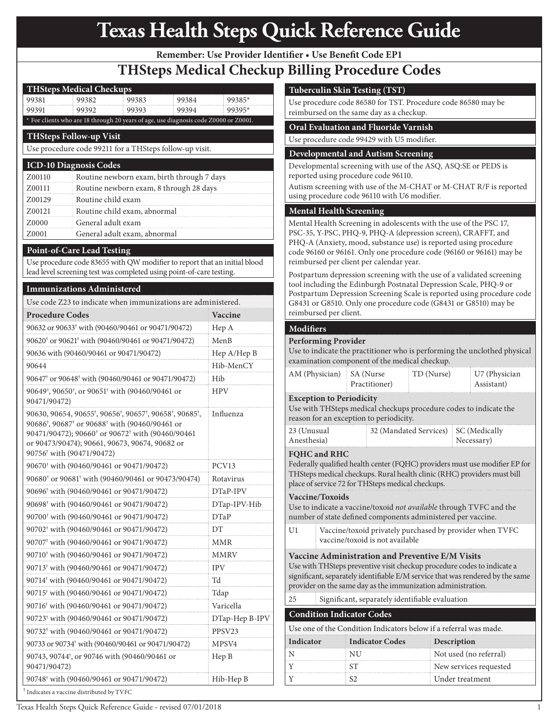## *CPT codes, descriptions, and other data only are copyright 2006 American Medical Association (or such other date of publication of CPT). All Rights Reserved. CPT is a trademark of the AMA. Applicable Federal Acquisition Regulation System/Department of Defense Regulation System (FARS/DFARS) restrictions apply to government use.* **Texas Health Steps Quick Reference Guide**

**Remember: Use Provider Identifier • Use Benefit Code EP1**

## **THSteps Medical Checkup Billing Procedure Codes**

| <b>THSteps Medical Checkups</b>                                                                                                    |                                                                                                                            |                                                                                                                        |                   |                                                                                      |  |
|------------------------------------------------------------------------------------------------------------------------------------|----------------------------------------------------------------------------------------------------------------------------|------------------------------------------------------------------------------------------------------------------------|-------------------|--------------------------------------------------------------------------------------|--|
| 99381                                                                                                                              | 99382                                                                                                                      | 99383                                                                                                                  | 99384             | $99385*$                                                                             |  |
| 99391                                                                                                                              | 99392                                                                                                                      | 99393                                                                                                                  | 99394             | 99395*                                                                               |  |
|                                                                                                                                    |                                                                                                                            |                                                                                                                        |                   | * For clients who are 18 through 20 years of age, use diagnosis code Z0000 or Z0001. |  |
| <b>THSteps Follow-up Visit</b>                                                                                                     |                                                                                                                            |                                                                                                                        |                   |                                                                                      |  |
|                                                                                                                                    | Use procedure code 99211 for a THSteps follow-up visit.                                                                    |                                                                                                                        |                   |                                                                                      |  |
| <b>ICD-10 Diagnosis Codes</b>                                                                                                      |                                                                                                                            |                                                                                                                        |                   |                                                                                      |  |
| Z00110                                                                                                                             |                                                                                                                            | Routine newborn exam, birth through 7 days                                                                             |                   |                                                                                      |  |
| Z00111                                                                                                                             |                                                                                                                            | Routine newborn exam, 8 through 28 days                                                                                |                   |                                                                                      |  |
| Z00129                                                                                                                             |                                                                                                                            | Routine child exam                                                                                                     |                   |                                                                                      |  |
| Z00121                                                                                                                             |                                                                                                                            | Routine child exam, abnormal                                                                                           |                   |                                                                                      |  |
| Z0000                                                                                                                              |                                                                                                                            | General adult exam                                                                                                     |                   |                                                                                      |  |
| Z0001                                                                                                                              | General adult exam, abnormal                                                                                               |                                                                                                                        |                   |                                                                                      |  |
| <b>Point-of-Care Lead Testing</b>                                                                                                  |                                                                                                                            |                                                                                                                        |                   |                                                                                      |  |
|                                                                                                                                    |                                                                                                                            |                                                                                                                        |                   | Use procedure code 83655 with QW modifier to report that an initial blood            |  |
|                                                                                                                                    |                                                                                                                            | lead level screening test was completed using point-of-care testing.                                                   |                   |                                                                                      |  |
| <b>Immunizations Administered</b>                                                                                                  |                                                                                                                            |                                                                                                                        |                   |                                                                                      |  |
|                                                                                                                                    |                                                                                                                            | Use code Z23 to indicate when immunizations are administered.                                                          |                   |                                                                                      |  |
| <b>Procedure Codes</b>                                                                                                             |                                                                                                                            |                                                                                                                        |                   | Vaccine                                                                              |  |
|                                                                                                                                    |                                                                                                                            | 90632 or 90633 <sup>†</sup> with (90460/90461 or 90471/90472)                                                          |                   | Hep A                                                                                |  |
|                                                                                                                                    |                                                                                                                            | 90620 <sup>†</sup> or 90621 <sup>†</sup> with (90460/90461 or 90471/90472)                                             |                   | MenB                                                                                 |  |
|                                                                                                                                    |                                                                                                                            | 90636 with (90460/90461 or 90471/90472)                                                                                |                   | Hep A/Hep B                                                                          |  |
| 90644                                                                                                                              |                                                                                                                            |                                                                                                                        |                   | Hib-MenCY                                                                            |  |
|                                                                                                                                    |                                                                                                                            | 90647 <sup>t</sup> or 90648 <sup>t</sup> with (90460/90461 or 90471/90472)                                             |                   | Hib                                                                                  |  |
|                                                                                                                                    |                                                                                                                            |                                                                                                                        |                   |                                                                                      |  |
| 90649 <sup>†</sup> , 90650 <sup>†</sup> , or 90651 <sup>†</sup> with (90460/90461 or<br><b>HPV</b><br>90471/90472)                 |                                                                                                                            |                                                                                                                        |                   |                                                                                      |  |
|                                                                                                                                    |                                                                                                                            | 90630, 90654, 90655 <sup>†</sup> , 90656 <sup>†</sup> , 90657 <sup>†</sup> , 90658 <sup>†</sup> , 90685 <sup>†</sup> , |                   | Influenza                                                                            |  |
|                                                                                                                                    |                                                                                                                            | 90686 <sup>†</sup> , 90687 <sup>†</sup> or 90688 <sup>†</sup> with (90460/90461 or                                     |                   |                                                                                      |  |
|                                                                                                                                    |                                                                                                                            | 90471/90472); 90660 <sup>†</sup> or 90672 <sup>†</sup> with (90460/90461                                               |                   |                                                                                      |  |
|                                                                                                                                    |                                                                                                                            | or 90473/90474); 90661, 90673, 90674, 90682 or                                                                         |                   |                                                                                      |  |
| 90756 <sup>†</sup> with (90471/90472)                                                                                              |                                                                                                                            |                                                                                                                        | PCV <sub>13</sub> |                                                                                      |  |
| 90670 <sup>+</sup> with (90460/90461 or 90471/90472)<br>90680 <sup>+</sup> or 90681 <sup>+</sup> with (90460/90461 or 90473/90474) |                                                                                                                            |                                                                                                                        | Rotavirus         |                                                                                      |  |
|                                                                                                                                    |                                                                                                                            | 90696 <sup>†</sup> with (90460/90461 or 90471/90472)                                                                   |                   |                                                                                      |  |
|                                                                                                                                    |                                                                                                                            |                                                                                                                        |                   | DTaP-IPV                                                                             |  |
| 90698 <sup>†</sup> with (90460/90461 or 90471/90472)                                                                               |                                                                                                                            |                                                                                                                        | DTap-IPV-Hib      |                                                                                      |  |
| 90700 <sup>†</sup> with (90460/90461 or 90471/90472)                                                                               |                                                                                                                            |                                                                                                                        | DTaP              |                                                                                      |  |
| 90702 <sup>†</sup> with (90460/90461 or 90471/90472)                                                                               |                                                                                                                            |                                                                                                                        | DT                |                                                                                      |  |
| 90707 <sup>†</sup> with (90460/90461 or 90471/90472)                                                                               |                                                                                                                            |                                                                                                                        | MMR               |                                                                                      |  |
|                                                                                                                                    |                                                                                                                            | 90710 <sup>†</sup> with (90460/90461 or 90471/90472)                                                                   |                   | MMRV                                                                                 |  |
| 90713 <sup>†</sup> with (90460/90461 or 90471/90472)                                                                               |                                                                                                                            |                                                                                                                        | <b>IPV</b>        |                                                                                      |  |
| 90714 <sup>†</sup> with (90460/90461 or 90471/90472)                                                                               |                                                                                                                            |                                                                                                                        | Td                |                                                                                      |  |
| 90715 <sup>†</sup> with (90460/90461 or 90471/90472)                                                                               |                                                                                                                            |                                                                                                                        | Tdap              |                                                                                      |  |
| 90716 <sup>†</sup> with (90460/90461 or 90471/90472)                                                                               |                                                                                                                            |                                                                                                                        | Varicella         |                                                                                      |  |
|                                                                                                                                    | 90723 <sup>†</sup> with (90460/90461 or 90471/90472)                                                                       |                                                                                                                        |                   | DTap-Hep B-IPV                                                                       |  |
|                                                                                                                                    | 90732† with (90460/90461 or 90471/90472)                                                                                   |                                                                                                                        |                   |                                                                                      |  |
|                                                                                                                                    |                                                                                                                            |                                                                                                                        |                   | MPSV <sub>4</sub>                                                                    |  |
|                                                                                                                                    | 90733 or 90734 <sup>†</sup> with (90460/90461 or 90471/90472)<br>90743, 90744 <sup>†</sup> , or 90746 with (90460/90461 or |                                                                                                                        |                   |                                                                                      |  |
| Hep B<br>90471/90472)                                                                                                              |                                                                                                                            |                                                                                                                        |                   |                                                                                      |  |
| 90748 <sup>†</sup> with (90460/90461 or 90471/90472)<br>Hib-Hep B                                                                  |                                                                                                                            |                                                                                                                        |                   |                                                                                      |  |
| Indicates a vaccine distributed by TVFC                                                                                            |                                                                                                                            |                                                                                                                        |                   |                                                                                      |  |

## **Tuberculin Skin Testing (TST)**

Use procedure code 86580 for TST. Procedure code 86580 may be reimbursed on the same day as a checkup.

## **Oral Evaluation and Fluoride Varnish**

Use procedure code 99429 with U5 modifier.

#### **Developmental and Autism Screening**

Developmental screening with use of the ASQ, ASQ:SE or PEDS is reported using procedure code 96110.

Autism screening with use of the M-CHAT or M-CHAT R/F is reported using procedure code 96110 with U6 modifier.

## **Mental Health Screening**

Mental Health Screening in adolescents with the use of the PSC 17, PSC-35, Y-PSC, PHQ-9, PHQ-A (depression screen), CRAFFT, and PHQ-A (Anxiety, mood, substance use) is reported using procedure code 96160 or 96161. Only one procedure code (96160 or 96161) may be reimbursed per client per calendar year.

Postpartum depression screening with the use of a validated screening tool including the Edinburgh Postnatal Depression Scale, PHQ-9 or Postpartum Depression Screening Scale is reported using procedure code G8431 or G8510. Only one procedure code (G8431 or G8510) may be reimbursed per client.

### **Modifiers**

#### **Performing Provider**

Use to indicate the practitioner who is performing the unclothed physical examination component of the medical checkup.

| AM (Physician)   SA (Nurse      | Practitioner) | $\overline{CD}$ (Nurse) | U7 (Physician<br>: Assistant) |  |  |
|---------------------------------|---------------|-------------------------|-------------------------------|--|--|
| <b>Exception to Periodicity</b> |               |                         |                               |  |  |

#### Use with THSteps medical checkups procedure codes to indicate the reason for an exception to periodicity.

| 23 (Unusual | 32 (Mandated Services) SC (Medically |                    |
|-------------|--------------------------------------|--------------------|
| Anesthesia) |                                      | $\angle$ Necessary |
|             |                                      |                    |

#### **FQHC and RHC**

Federally qualified health center (FQHC) providers must use modifier EP for THSteps medical checkups. Rural health clinic (RHC) providers must bill place of service 72 for THSteps medical checkups.

#### **Vaccine/Toxoids**

Use to indicate a vaccine/toxoid *not available* through TVFC and the number of state defined components administered per vaccine.

U1 Vaccine/toxoid privately purchased by provider when TVFC vaccine/toxoid is not available

#### **Vaccine Administration and Preventive E/M Visits**

Use with THSteps preventive visit checkup procedure codes to indicate a significant, separately identifiable E/M service that was rendered by the same provider on the same day as the immunization administration.

25 Significant, separately identifiable evaluation

#### **Condition Indicator Codes**

Use one of the Condition Indicators below if a referral was made.

| Indicator | <b>Indicator Codes</b> | Description            |
|-----------|------------------------|------------------------|
|           | NU                     | Not used (no referral) |
|           |                        | New services requested |
|           |                        | Under treatment        |

Texas Health Steps Quick Reference Guide - revised 07/01/2018 1